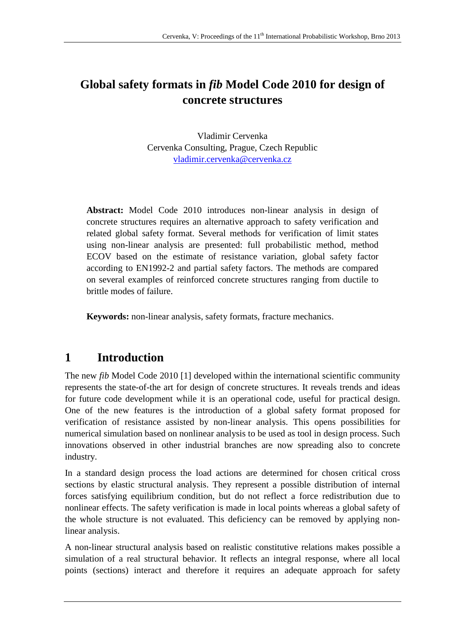# **Global safety formats in** *fib* **Model Code 2010 for design of concrete structures**

Vladimir Cervenka Cervenka Consulting, Prague, Czech Republic vladimir.cervenka@cervenka.cz

**Abstract:** Model Code 2010 introduces non-linear analysis in design of concrete structures requires an alternative approach to safety verification and related global safety format. Several methods for verification of limit states using non-linear analysis are presented: full probabilistic method, method ECOV based on the estimate of resistance variation, global safety factor according to EN1992-2 and partial safety factors. The methods are compared on several examples of reinforced concrete structures ranging from ductile to brittle modes of failure.

**Keywords:** non-linear analysis, safety formats, fracture mechanics.

## **1 Introduction**

The new *fib* Model Code 2010 [1] developed within the international scientific community represents the state-of-the art for design of concrete structures. It reveals trends and ideas for future code development while it is an operational code, useful for practical design. One of the new features is the introduction of a global safety format proposed for verification of resistance assisted by non-linear analysis. This opens possibilities for numerical simulation based on nonlinear analysis to be used as tool in design process. Such innovations observed in other industrial branches are now spreading also to concrete industry.

In a standard design process the load actions are determined for chosen critical cross sections by elastic structural analysis. They represent a possible distribution of internal forces satisfying equilibrium condition, but do not reflect a force redistribution due to nonlinear effects. The safety verification is made in local points whereas a global safety of the whole structure is not evaluated. This deficiency can be removed by applying nonlinear analysis.

A non-linear structural analysis based on realistic constitutive relations makes possible a simulation of a real structural behavior. It reflects an integral response, where all local points (sections) interact and therefore it requires an adequate approach for safety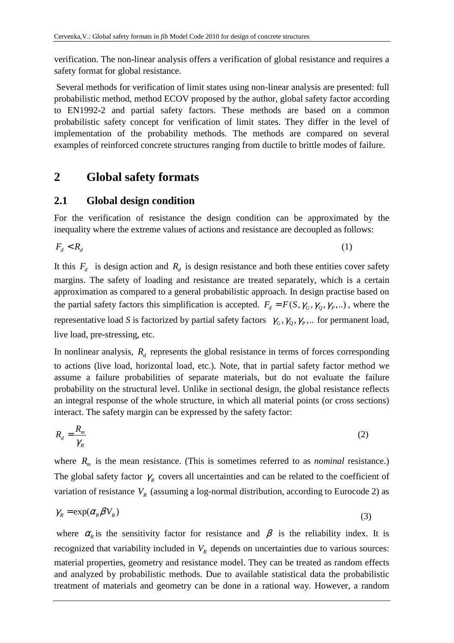verification. The non-linear analysis offers a verification of global resistance and requires a safety format for global resistance.

 Several methods for verification of limit states using non-linear analysis are presented: full probabilistic method, method ECOV proposed by the author, global safety factor according to EN1992-2 and partial safety factors. These methods are based on a common probabilistic safety concept for verification of limit states. They differ in the level of implementation of the probability methods. The methods are compared on several examples of reinforced concrete structures ranging from ductile to brittle modes of failure.

### **2 Global safety formats**

#### **2.1 Global design condition**

For the verification of resistance the design condition can be approximated by the inequality where the extreme values of actions and resistance are decoupled as follows:

$$
F_d < R_d \tag{1}
$$

It this  $F_d$  is design action and  $R_d$  is design resistance and both these entities cover safety margins. The safety of loading and resistance are treated separately, which is a certain approximation as compared to a general probabilistic approach. In design practise based on the partial safety factors this simplification is accepted.  $F_d = F(S, \gamma_G, \gamma_D, \gamma_P, ...)$ , where the representative load *S* is factorized by partial safety factors  $\gamma_G, \gamma_Q, \gamma_P, \dots$  for permanent load, live load, pre-stressing, etc.

In nonlinear analysis,  $R_d$  represents the global resistance in terms of forces corresponding to actions (live load, horizontal load, etc.). Note, that in partial safety factor method we assume a failure probabilities of separate materials, but do not evaluate the failure probability on the structural level. Unlike in sectional design, the global resistance reflects an integral response of the whole structure, in which all material points (or cross sections) interact. The safety margin can be expressed by the safety factor:

$$
R_d = \frac{R_m}{\gamma_R} \tag{2}
$$

where  $R_m$  is the mean resistance. (This is sometimes referred to as *nominal* resistance.) The global safety factor  $\gamma_R$  covers all uncertainties and can be related to the coefficient of variation of resistance  $V_R$  (assuming a log-normal distribution, according to Eurocode 2) as

$$
\gamma_R = \exp(\alpha_R \beta V_R) \tag{3}
$$

where  $\alpha_R$  is the sensitivity factor for resistance and  $\beta$  is the reliability index. It is recognized that variability included in  $V_R$  depends on uncertainties due to various sources: material properties, geometry and resistance model. They can be treated as random effects and analyzed by probabilistic methods. Due to available statistical data the probabilistic treatment of materials and geometry can be done in a rational way. However, a random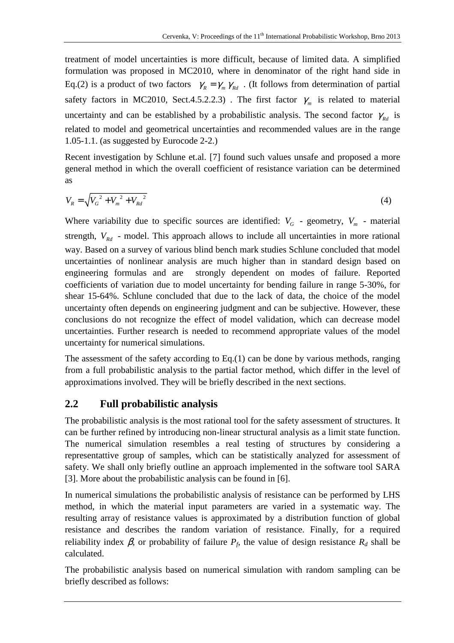treatment of model uncertainties is more difficult, because of limited data. A simplified formulation was proposed in MC2010, where in denominator of the right hand side in Eq.(2) is a product of two factors  $\gamma_R = \gamma_m \gamma_{Rd}$ . (It follows from determination of partial safety factors in MC2010, Sect.4.5.2.2.3). The first factor  $\gamma_m$  is related to material uncertainty and can be established by a probabilistic analysis. The second factor  $\gamma_{Rd}$  is related to model and geometrical uncertainties and recommended values are in the range 1.05-1.1. (as suggested by Eurocode 2-2.)

Recent investigation by Schlune et.al. [7] found such values unsafe and proposed a more general method in which the overall coefficient of resistance variation can be determined as

$$
V_R = \sqrt{V_G^2 + V_m^2 + V_{Rd}^2}
$$
 (4)

Where variability due to specific sources are identified:  $V_G$  - geometry,  $V_m$  - material strength,  $V_{Rd}$  - model. This approach allows to include all uncertainties in more rational way. Based on a survey of various blind bench mark studies Schlune concluded that model uncertainties of nonlinear analysis are much higher than in standard design based on engineering formulas and are strongly dependent on modes of failure. Reported coefficients of variation due to model uncertainty for bending failure in range 5-30%, for shear 15-64%. Schlune concluded that due to the lack of data, the choice of the model uncertainty often depends on engineering judgment and can be subjective. However, these conclusions do not recognize the effect of model validation, which can decrease model uncertainties. Further research is needed to recommend appropriate values of the model uncertainty for numerical simulations.

The assessment of the safety according to Eq.(1) can be done by various methods, ranging from a full probabilistic analysis to the partial factor method, which differ in the level of approximations involved. They will be briefly described in the next sections.

### **2.2 Full probabilistic analysis**

The probabilistic analysis is the most rational tool for the safety assessment of structures. It can be further refined by introducing non-linear structural analysis as a limit state function. The numerical simulation resembles a real testing of structures by considering a representattive group of samples, which can be statistically analyzed for assessment of safety. We shall only briefly outline an approach implemented in the software tool SARA [3]. More about the probabilistic analysis can be found in [6].

In numerical simulations the probabilistic analysis of resistance can be performed by LHS method, in which the material input parameters are varied in a systematic way. The resulting array of resistance values is approximated by a distribution function of global resistance and describes the random variation of resistance. Finally, for a required reliability index  $\beta$ , or probability of failure  $P_f$ , the value of design resistance  $R_d$  shall be calculated.

The probabilistic analysis based on numerical simulation with random sampling can be briefly described as follows: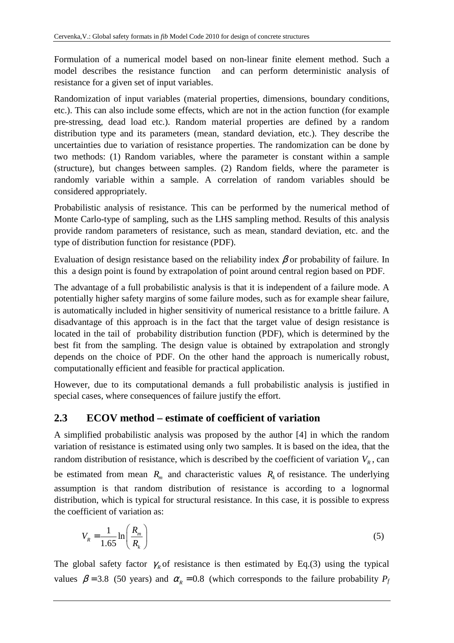Formulation of a numerical model based on non-linear finite element method. Such a model describes the resistance function and can perform deterministic analysis of resistance for a given set of input variables.

Randomization of input variables (material properties, dimensions, boundary conditions, etc.). This can also include some effects, which are not in the action function (for example pre-stressing, dead load etc.). Random material properties are defined by a random distribution type and its parameters (mean, standard deviation, etc.). They describe the uncertainties due to variation of resistance properties. The randomization can be done by two methods: (1) Random variables, where the parameter is constant within a sample (structure), but changes between samples. (2) Random fields, where the parameter is randomly variable within a sample. A correlation of random variables should be considered appropriately.

Probabilistic analysis of resistance. This can be performed by the numerical method of Monte Carlo-type of sampling, such as the LHS sampling method. Results of this analysis provide random parameters of resistance, such as mean, standard deviation, etc. and the type of distribution function for resistance (PDF).

Evaluation of design resistance based on the reliability index  $\beta$  or probability of failure. In this a design point is found by extrapolation of point around central region based on PDF.

The advantage of a full probabilistic analysis is that it is independent of a failure mode. A potentially higher safety margins of some failure modes, such as for example shear failure, is automatically included in higher sensitivity of numerical resistance to a brittle failure. A disadvantage of this approach is in the fact that the target value of design resistance is located in the tail of probability distribution function (PDF), which is determined by the best fit from the sampling. The design value is obtained by extrapolation and strongly depends on the choice of PDF. On the other hand the approach is numerically robust, computationally efficient and feasible for practical application.

However, due to its computational demands a full probabilistic analysis is justified in special cases, where consequences of failure justify the effort.

### **2.3 ECOV method – estimate of coefficient of variation**

A simplified probabilistic analysis was proposed by the author [4] in which the random variation of resistance is estimated using only two samples. It is based on the idea, that the random distribution of resistance, which is described by the coefficient of variation  $V_R$ , can be estimated from mean  $R_m$  and characteristic values  $R_k$  of resistance. The underlying assumption is that random distribution of resistance is according to a lognormal distribution, which is typical for structural resistance. In this case, it is possible to express the coefficient of variation as:

$$
V_R = \frac{1}{1.65} \ln \left( \frac{R_m}{R_k} \right) \tag{5}
$$

The global safety factor  $\gamma_R$  of resistance is then estimated by Eq.(3) using the typical values  $\beta = 3.8$  (50 years) and  $\alpha_R = 0.8$  (which corresponds to the failure probability  $P_f$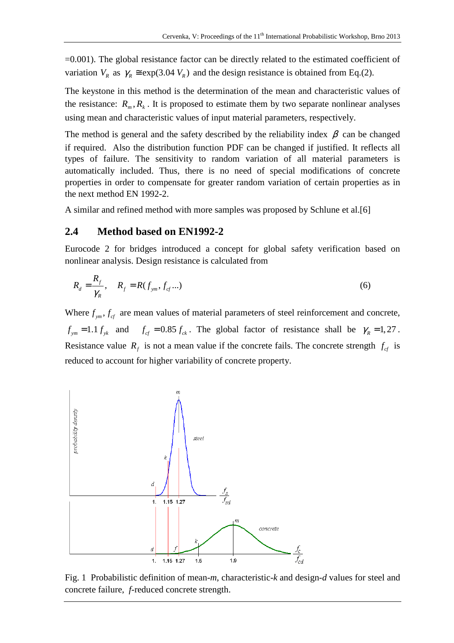=0.001). The global resistance factor can be directly related to the estimated coefficient of variation  $V_R$  as  $\gamma_R \approx \exp(3.04 V_R)$  and the design resistance is obtained from Eq.(2).

The keystone in this method is the determination of the mean and characteristic values of the resistance:  $R_m$ ,  $R_k$ . It is proposed to estimate them by two separate nonlinear analyses using mean and characteristic values of input material parameters, respectively.

The method is general and the safety described by the reliability index  $\beta$  can be changed if required. Also the distribution function PDF can be changed if justified. It reflects all types of failure. The sensitivity to random variation of all material parameters is automatically included. Thus, there is no need of special modifications of concrete properties in order to compensate for greater random variation of certain properties as in the next method EN 1992-2.

A similar and refined method with more samples was proposed by Schlune et al.[6]

#### **2.4 Method based on EN1992-2**

Eurocode 2 for bridges introduced a concept for global safety verification based on nonlinear analysis. Design resistance is calculated from

$$
R_d = \frac{R_f}{\gamma_R}, \quad R_f = R(f_{ym}, f_{cf}...)
$$
 (6)

Where  $f_{\gamma m}$ ,  $f_{cf}$  are mean values of material parameters of steel reinforcement and concrete,  $f_{\gamma m} = 1.1 f_{\gamma k}$  and  $f_{cf} = 0.85 f_{ck}$ . The global factor of resistance shall be  $\gamma_R = 1.27$ . Resistance value  $R_f$  is not a mean value if the concrete fails. The concrete strength  $f_{cf}$  is reduced to account for higher variability of concrete property.



Fig. 1 Probabilistic definition of mean-*m*, characteristic-*k* and design-*d* values for steel and concrete failure, *f-*reduced concrete strength.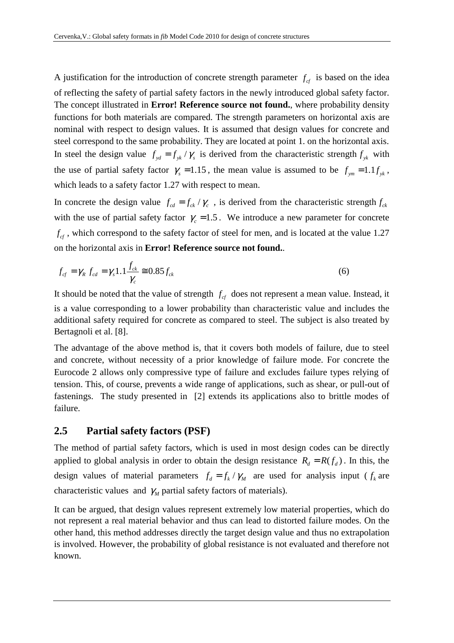A justification for the introduction of concrete strength parameter  $f_{cf}$  is based on the idea of reflecting the safety of partial safety factors in the newly introduced global safety factor. The concept illustrated in **Error! Reference source not found.**, where probability density functions for both materials are compared. The strength parameters on horizontal axis are nominal with respect to design values. It is assumed that design values for concrete and steel correspond to the same probability. They are located at point 1. on the horizontal axis. In steel the design value  $f_{yd} = f_{yk}/\gamma_s$  is derived from the characteristic strength  $f_{yk}$  with the use of partial safety factor  $\gamma_s = 1.15$ , the mean value is assumed to be  $f_{ym} = 1.1 f_{yk}$ , which leads to a safety factor 1.27 with respect to mean.

In concrete the design value  $f_{cd} = f_{ck} / \gamma_c$ , is derived from the characteristic strength  $f_{ck}$ with the use of partial safety factor  $\gamma_c = 1.5$ . We introduce a new parameter for concrete  $f_{cf}$ , which correspond to the safety factor of steel for men, and is located at the value 1.27 on the horizontal axis in **Error! Reference source not found.**.

$$
f_{cf} = \gamma_R f_{cd} = \gamma_s 1.1 \frac{f_{ck}}{\gamma_c} \approx 0.85 f_{ck}
$$
 (6)

It should be noted that the value of strength  $f_{cf}$  does not represent a mean value. Instead, it is a value corresponding to a lower probability than characteristic value and includes the additional safety required for concrete as compared to steel. The subject is also treated by Bertagnoli et al. [8].

The advantage of the above method is, that it covers both models of failure, due to steel and concrete, without necessity of a prior knowledge of failure mode. For concrete the Eurocode 2 allows only compressive type of failure and excludes failure types relying of tension. This, of course, prevents a wide range of applications, such as shear, or pull-out of fastenings. The study presented in [2] extends its applications also to brittle modes of failure.

#### **2.5 Partial safety factors (PSF)**

The method of partial safety factors, which is used in most design codes can be directly applied to global analysis in order to obtain the design resistance  $R_d = R(f_d)$ . In this, the design values of material parameters  $f_d = f_k / \gamma_M$  are used for analysis input ( $f_k$  are characteristic values and  $\gamma_M$  partial safety factors of materials).

It can be argued, that design values represent extremely low material properties, which do not represent a real material behavior and thus can lead to distorted failure modes. On the other hand, this method addresses directly the target design value and thus no extrapolation is involved. However, the probability of global resistance is not evaluated and therefore not known.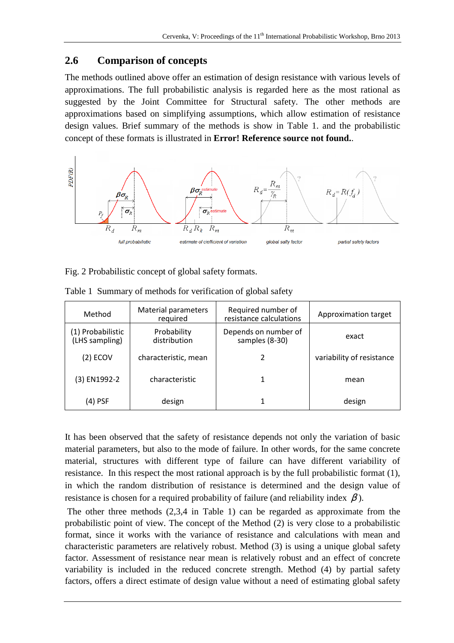### **2.6 Comparison of of concepts**

The methods outlined above offer an estimation of design resistance with various levels of approximations. The full probabilistic analysis is regarded here as the most rational as suggested by the Joint Committee for Structural safety. The other methods are approximations based on simplifying assumptions, which allow estimation of resistance design values. Brief summary of the methods is show in Table 1. and the probabilistic concept of these formats is illustrated in **Error! Reference source not found.** .



Fig. 2 Probabilistic concept of global safety formats.

| Method                              | <b>Material parameters</b><br>required | Required number of<br>resistance calculations | Approximation target      |
|-------------------------------------|----------------------------------------|-----------------------------------------------|---------------------------|
| (1) Probabilistic<br>(LHS sampling) | Probability<br>distribution            | Depends on number of<br>samples (8-30)        | exact                     |
| (2) ECOV                            | characteristic, mean                   |                                               | variability of resistance |
| (3) EN1992-2                        | characteristic                         |                                               | mean                      |
| (4) PSF                             | design                                 |                                               | design                    |

Table 1 Summary of methods for verification of global safety

It has been observed that the safety of resistance depends not only the variation of basic material parameters, but also to the mode of failure. In other words, for the same concrete material, structures with different type of failure can have different variability of resistance. In this respect the most rational approach is by the full probabilistic format (1), in which the random distribution of resistance is determined and the design value of resistance is chosen for a required probability of failure (and reliability index  $\beta$ ).

The other three methods  $(2,3,4)$  in Table 1) can be regarded as approximate from the probabilistic point of view. The concept of the Method (2) is very close to a probabilistic format, since it works with the variance of resistance and calculations with mean and characteristic parameters are relatively robust. Method (3) is using a unique global safety factor. Assessment of resistance near mean is relatively robust and an effect of concrete variability is included in the reduced concrete strength. Method (4) by partial safety factors, offers a direct estimate of design value without a need of estimating global safety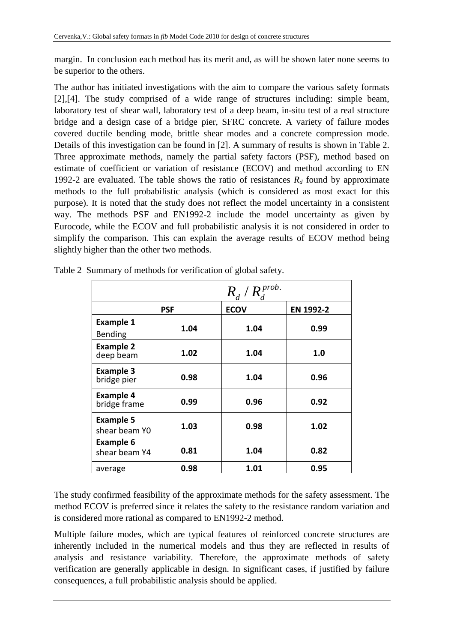margin. In conclusion each method has its merit and, as will be shown later none seems to be superior to the others.

The author has initiated investigations with the aim to compare the various safety formats [2],[4]. The study comprised of a wide range of structures including: simple beam, laboratory test of shear wall, laboratory test of a deep beam, in-situ test of a real structure bridge and a design case of a bridge pier, SFRC concrete. A variety of failure modes covered ductile bending mode, brittle shear modes and a concrete compression mode. Details of this investigation can be found in [2]. A summary of results is shown in Table 2. Three approximate methods, namely the partial safety factors (PSF), method based on estimate of coefficient or variation of resistance (ECOV) and method according to EN 1992-2 are evaluated. The table shows the ratio of resistances  $R_d$  found by approximate methods to the full probabilistic analysis (which is considered as most exact for this purpose). It is noted that the study does not reflect the model uncertainty in a consistent way. The methods PSF and EN1992-2 include the model uncertainty as given by Eurocode, while the ECOV and full probabilistic analysis it is not considered in order to simplify the comparison. This can explain the average results of ECOV method being slightly higher than the other two methods.

|                                    | $R_{d}$ / $R_{i}^{prob.}$ |             |           |
|------------------------------------|---------------------------|-------------|-----------|
|                                    | <b>PSF</b>                | <b>ECOV</b> | EN 1992-2 |
| <b>Example 1</b><br><b>Bending</b> | 1.04                      | 1.04        | 0.99      |
| <b>Example 2</b><br>deep beam      | 1.02                      | 1.04        | 1.0       |
| <b>Example 3</b><br>bridge pier    | 0.98                      | 1.04        | 0.96      |
| <b>Example 4</b><br>bridge frame   | 0.99                      | 0.96        | 0.92      |
| <b>Example 5</b><br>shear beam YO  | 1.03                      | 0.98        | 1.02      |
| <b>Example 6</b><br>shear beam Y4  | 0.81                      | 1.04        | 0.82      |
| average                            | 0.98                      | 1.01        | 0.95      |

Table 2 Summary of methods for verification of global safety.

The study confirmed feasibility of the approximate methods for the safety assessment. The method ECOV is preferred since it relates the safety to the resistance random variation and is considered more rational as compared to EN1992-2 method.

Multiple failure modes, which are typical features of reinforced concrete structures are inherently included in the numerical models and thus they are reflected in results of analysis and resistance variability. Therefore, the approximate methods of safety verification are generally applicable in design. In significant cases, if justified by failure consequences, a full probabilistic analysis should be applied.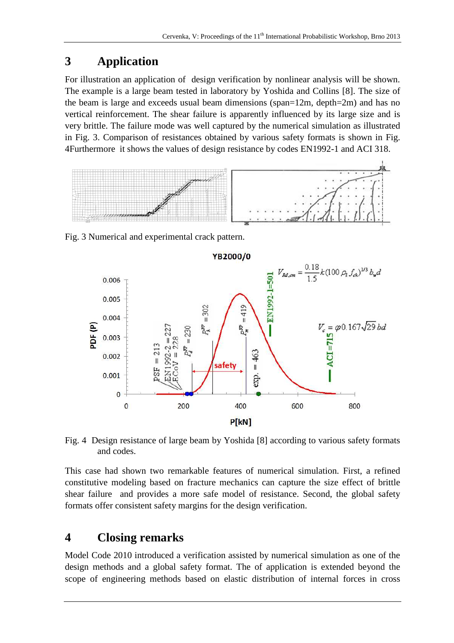## **3 Application**

For illustration an application of design verification by nonlinear analysis will be shown. The example is a large beam tested in laboratory by Yoshida and Collins [8]. The size of the beam is large and exceeds usual beam dimensions (span=12m, depth=2m) and has no vertical reinforcement. The shear failure is apparently influenced by its large size and is very brittle. The failure mode was well captured by the numerical simulation as illustrated in Fig. 3. Comparison of resistances obtained by various safety formats is shown in Fig. 4Furthermore it shows the values of design resistance by codes EN1992-1 and ACI 318.



Fig. 3 Numerical and experimental crack pattern.



Fig. 4 Design resistance of large beam by Yoshida [8] according to various safety formats and codes.

This case had shown two remarkable features of numerical simulation. First, a refined constitutive modeling based on fracture mechanics can capture the size effect of brittle shear failure and provides a more safe model of resistance. Second, the global safety formats offer consistent safety margins for the design verification.

### **4 Closing remarks**

Model Code 2010 introduced a verification assisted by numerical simulation as one of the design methods and a global safety format. The of application is extended beyond the scope of engineering methods based on elastic distribution of internal forces in cross